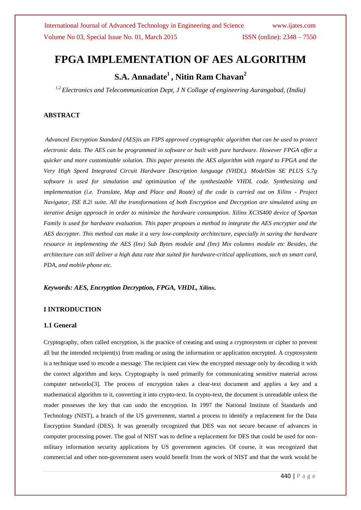# **FPGA IMPLEMENTATION OF AES ALGORITHM**

## **S.A. Annadate<sup>1</sup> , Nitin Ram Chavan<sup>2</sup>**

*1,2 Electronics and Telecommunication Dept, J N Collage of engineering Aurangabad, (India)*

## **ABSTRACT**

*Advanced Encryption Standard (AES)is an FIPS approved cryptographic algorithm that can be used to protect electronic data. The AES can be programmed in software or built with pure hardware. However FPGA offer a quicker and more customizable solution. This paper presents the AES algorithm with regard to FPGA and the Very High Speed Integrated Circuit Hardware Description language (VHDL). ModelSim SE PLUS 5.7g software is used for simulation and optimization of the synthesizable VHDL code. Synthesizing and implementation (i.e. Translate, Map and Place and Route) of the code is carried out on Xilinx - Project Navigator, ISE 8.2i suite. All the transformations of both Encryption and Decryption are simulated using an iterative design approach in order to minimize the hardware consumption. Xilinx XC3S400 device of Spartan Family is used for hardware evaluation. This paper proposes a method to integrate the AES encrypter and the AES decrypter. This method can make it a very low-complexity architecture, especially in saving the hardware resource in implementing the AES (Inv) Sub Bytes module and (Inv) Mix columns module etc Besides, the architecture can still deliver a high data rate that suited for hardware-critical applications, such as smart card, PDA, and mobile phone etc.*

### *Keywords: AES, Encryption Decryption, FPGA, VHDL, Xilinx.*

### **I INTRODUCTION**

### **1.1 General**

Cryptography, often called encryption, is the practice of creating and using a cryptosystem or cipher to prevent all but the intended recipient(s) from reading or using the information or application encrypted. A cryptosystem is a technique used to encode a message. The recipient can view the encrypted message only by decoding it with the correct algorithm and keys. Cryptography is used primarily for communicating sensitive material across computer networks[3]. The process of encryption takes a clear-text document and applies a key and a mathematical algorithm to it, converting it into crypto-text. In crypto-text, the document is unreadable unless the reader possesses the key that can undo the encryption. In 1997 the National Institute of Standards and Technology (NIST), a branch of the US government, started a process to identify a replacement for the Data Encryption Standard (DES). It was generally recognized that DES was not secure because of advances in computer processing power. The goal of NIST was to define a replacement for DES that could be used for nonmilitary information security applications by US government agencies. Of course, it was recognized that commercial and other non-government users would benefit from the work of NIST and that the work would be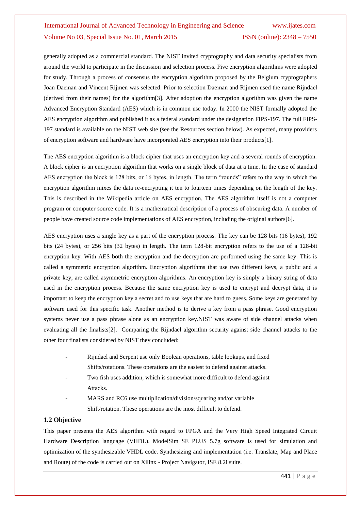generally adopted as a commercial standard. The NIST invited cryptography and data security specialists from around the world to participate in the discussion and selection process. Five encryption algorithms were adopted for study. Through a process of consensus the encryption algorithm proposed by the Belgium cryptographers Joan Daeman and Vincent Rijmen was selected. Prior to selection Daeman and Rijmen used the name Rijndael (derived from their names) for the algorithm[3]. After adoption the encryption algorithm was given the name Advanced Encryption Standard (AES) which is in common use today. In 2000 the NIST formally adopted the AES encryption algorithm and published it as a federal standard under the designation FIPS-197. The full FIPS-197 standard is available on the NIST web site (see the Resources section below). As expected, many providers of encryption software and hardware have incorporated AES encryption into their products[1].

The AES encryption algorithm is a block cipher that uses an encryption key and a several rounds of encryption. A block cipher is an encryption algorithm that works on a single block of data at a time. In the case of standard AES encryption the block is 128 bits, or 16 bytes, in length. The term "rounds" refers to the way in which the encryption algorithm mixes the data re-encrypting it ten to fourteen times depending on the length of the key. This is described in the Wikipedia article on AES encryption. The AES algorithm itself is not a computer program or computer source code. It is a mathematical description of a process of obscuring data. A number of people have created source code implementations of AES encryption, including the original authors[6].

AES encryption uses a single key as a part of the encryption process. The key can be 128 bits (16 bytes), 192 bits (24 bytes), or 256 bits (32 bytes) in length. The term 128-bit encryption refers to the use of a 128-bit encryption key. With AES both the encryption and the decryption are performed using the same key. This is called a symmetric encryption algorithm. Encryption algorithms that use two different keys, a public and a private key, are called asymmetric encryption algorithms. An encryption key is simply a binary string of data used in the encryption process. Because the same encryption key is used to encrypt and decrypt data, it is important to keep the encryption key a secret and to use keys that are hard to guess. Some keys are generated by software used for this specific task. Another method is to derive a key from a pass phrase. Good encryption systems never use a pass phrase alone as an encryption key.NIST was aware of side channel attacks when evaluating all the finalists[2]. Comparing the Rijndael algorithm security against side channel attacks to the other four finalists considered by NIST they concluded:

- Rijndael and Serpent use only Boolean operations, table lookups, and fixed Shifts/rotations. These operations are the easiest to defend against attacks.
- Two fish uses addition, which is somewhat more difficult to defend against Attacks.
- MARS and RC6 use multiplication/division/squaring and/or variable Shift/rotation. These operations are the most difficult to defend.

#### **1.2 Objective**

This paper presents the AES algorithm with regard to FPGA and the Very High Speed Integrated Circuit Hardware Description language (VHDL). ModelSim SE PLUS 5.7g software is used for simulation and optimization of the synthesizable VHDL code. Synthesizing and implementation (i.e. Translate, Map and Place and Route) of the code is carried out on Xilinx - Project Navigator, ISE 8.2i suite.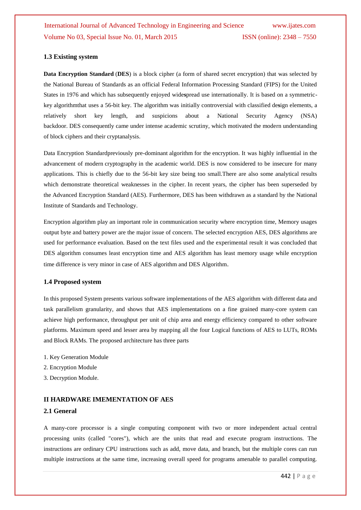#### **1.3 Existing system**

**Data Encryption Standard** (**DES**) is a block cipher (a form of shared secret encryption) that was selected by the National Bureau of Standards as an official Federal Information Processing Standard (FIPS) for the United States in 1976 and which has subsequently enjoyed wide**s**pread use internationally. It is based on a symmetrickey algorithmthat uses a 56-bit key. The algorithm was initially controversial with classified de**s**ign elements, a relatively short key length, and suspicions about a National Security Agency (NSA) backdoor. DES consequently came under intense academic scrutiny, which motivated the modern understanding of block ciphers and their cryptanalysis.

Data Encryption Standardpreviously pre-dominant algorithm for the encryption. It was highly influential in the advancement of modern cryptography in the academic world. DES is now considered to be insecure for many applications. This is chiefly due to the 56-bit key size being too small.There are also some analytical results which demonstrate theoretical weaknesses in the cipher. In recent years, the cipher has been superseded by the Advanced Encryption Standard (AES). Furthermore, DES has been withdrawn as a standard by the National Institute of Standards and Technology.

Encryption algorithm play an important role in communication security where encryption time, Memory usages output byte and battery power are the major issue of concern. The selected encryption AES, DES algorithms are used for performance evaluation. Based on the text files used and the experimental result it was concluded that DES algorithm consumes least encryption time and AES algorithm has least memory usage while encryption time difference is very minor in case of AES algorithm and DES Algorithm.

#### **1.4 Proposed system**

In this proposed System presents various software implementations of the AES algorithm with different data and task parallelism granularity, and shows that AES implementations on a fine grained many-core system can achieve high performance, throughput per unit of chip area and energy efficiency compared to other software platforms. Maximum speed and lesser area by mapping all the four Logical functions of AES to LUTs, ROMs and Block RAMs. The proposed architecture has three parts

- 1. Key Generation Module
- 2. Encryption Module
- 3. Decryption Module.

#### **II HARDWARE IMEMENTATION OF AES**

#### **2.1 General**

A many-core processor is a single computing component with two or more independent actual central processing units (called "cores"), which are the units that read and execute program instructions. The instructions are ordinary CPU instructions such as add, move data, and branch, but the multiple cores can run multiple instructions at the same time, increasing overall speed for programs amenable to parallel computing.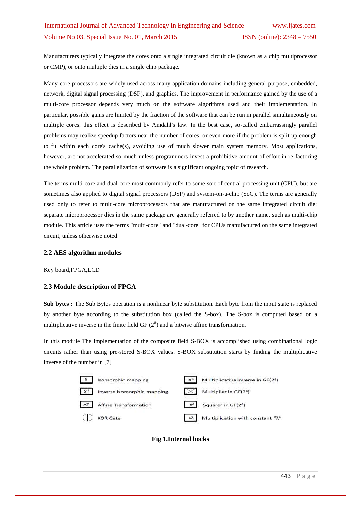Manufacturers typically integrate the cores onto a single integrated circuit die (known as a chip multiprocessor or CMP), or onto multiple dies in a single chip package.

Many-core processors are widely used across many application domains including general-purpose, embedded, network, digital signal processing (DSP), and graphics. The improvement in performance gained by the use of a multi-core processor depends very much on the software algorithms used and their implementation. In particular, possible gains are limited by the fraction of the software that can be run in parallel simultaneously on multiple cores; this effect is described by Amdahl's law. In the best case, so-called embarrassingly parallel problems may realize speedup factors near the number of cores, or even more if the problem is split up enough to fit within each core's cache(s), avoiding use of much slower main system memory. Most applications, however, are not accelerated so much unless programmers invest a prohibitive amount of effort in re-factoring the whole problem. The parallelization of software is a significant ongoing topic of research.

The terms multi-core and dual-core most commonly refer to some sort of central processing unit (CPU), but are sometimes also applied to digital signal processors (DSP) and system-on-a-chip (SoC). The terms are generally used only to refer to multi-core microprocessors that are manufactured on the same integrated circuit die; separate microprocessor dies in the same package are generally referred to by another name, such as multi-chip module. This article uses the terms "multi-core" and "dual-core" for CPUs manufactured on the same integrated circuit, unless otherwise noted.

#### **2.2 AES algorithm modules**

Key board,FPGA,LCD

### **2.3 Module description of FPGA**

**Sub bytes :** The Sub Bytes operation is a nonlinear byte substitution. Each byte from the input state is replaced by another byte according to the substitution box (called the S-box). The S-box is computed based on a multiplicative inverse in the finite field GF  $(2^8)$  and a bitwise affine transformation.

In this module The implementation of the composite field S-BOX is accomplished using combinational logic circuits rather than using pre-stored S-BOX values. S-BOX substitution starts by finding the multiplicative inverse of the number in [7]



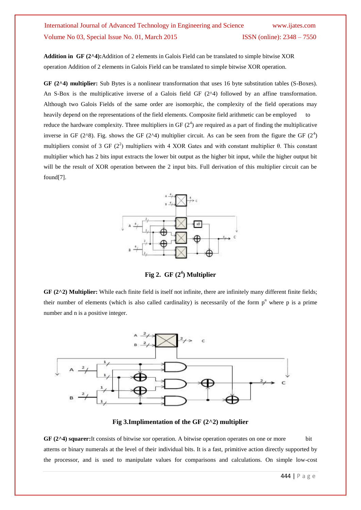**Addition in GF (2^4):**Addition of 2 elements in Galois Field can be translated to simple bitwise XOR operation Addition of 2 elements in Galois Field can be translated to simple bitwise XOR operation.

**GF (2^4) multiplier:** Sub Bytes is a nonlinear transformation that uses 16 byte substitution tables (S-Boxes). An S-Box is the multiplicative inverse of a Galois field GF  $(2^{\wedge}4)$  followed by an affine transformation. Although two Galois Fields of the same order are isomorphic, the complexity of the field operations may heavily depend on the representations of the field elements. Composite field arithmetic can be employed to reduce the hardware complexity. Three multipliers in GF  $(2^4)$  are required as a part of finding the multiplicative inverse in GF (2 $\text{A}$ 8). Fig. shows the GF (2 $\text{A}$ ) multiplier circuit. As can be seen from the figure the GF (2<sup>4</sup>) multipliers consist of 3 GF ( $2<sup>2</sup>$ ) multipliers with 4 XOR Gates and with constant multiplier  $\theta$ . This constant multiplier which has 2 bits input extracts the lower bit output as the higher bit input, while the higher output bit will be the result of XOR operation between the 2 input bits. Full derivation of this multiplier circuit can be found[7].



**Fig 2. GF (2<sup>4</sup> ) Multiplier**

**GF (2^2) Multiplier:** While each finite field is itself not infinite, there are infinitely many different finite fields; their number of elements (which is also called cardinality) is necessarily of the form  $p<sup>n</sup>$  where p is a prime number and n is a positive integer.



**Fig 3.Implimentation of the GF (2^2) multiplier**

GF (2<sup> $\triangle$ </sup>4) squarer:It consists of bitwise xor operation. A bitwise operation operates on one or more bit atterns or binary numerals at the level of their individual bits. It is a fast, primitive action directly supported by the processor, and is used to manipulate values for comparisons and calculations. On simple low-cost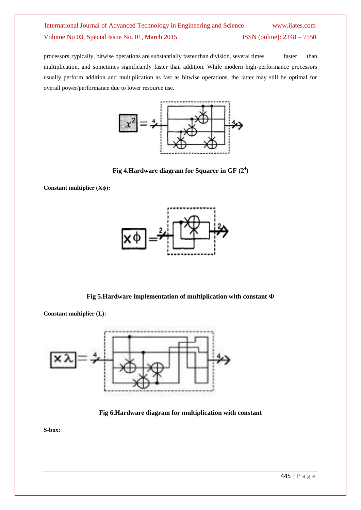processors, typically, bitwise operations are substantially faster than division, several times faster than multiplication, and sometimes significantly faster than addition. While modern high-performance processors usually perform addition and multiplication as fast as bitwise operations, the latter may still be optimal for overall power/performance due to lower resource use.



**Fig 4.Hardware diagram for Squarer in GF (2<sup>4</sup> )**

**Constant multiplier (Xϕ):**

**Constant multiplier (L):**



**Fig 5.Hardware implementation of multiplication with constant Φ**



**Fig 6.Hardware diagram for multiplication with constant**

**S-box:**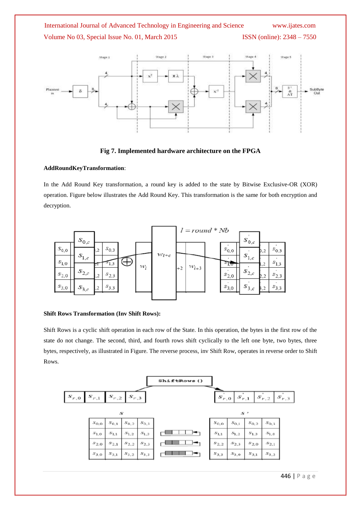

### **Fig 7. Implemented hardware architecture on the FPGA**

#### **AddRoundKeyTransformation**:

In the Add Round Key transformation, a round key is added to the state by Bitwise Exclusive-OR (XOR) operation. Figure below illustrates the Add Round Key. This transformation is the same for both encryption and decryption.



#### **Shift Rows Transformation (Inv Shift Rows):**

Shift Rows is a cyclic shift operation in each row of the State. In this operation, the bytes in the first row of the state do not change. The second, third, and fourth rows shift cyclically to the left one byte, two bytes, three bytes, respectively, as illustrated in Figure. The reverse process, inv Shift Row, operates in reverse order to Shift Rows.

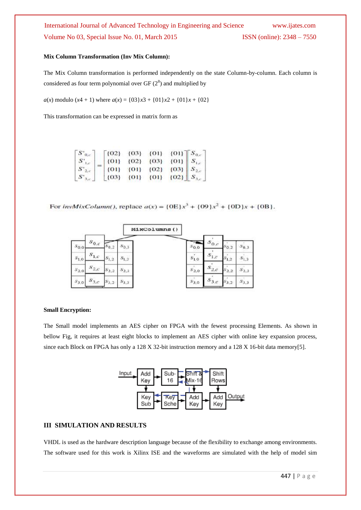#### **Mix Column Transformation (Inv Mix Column):**

The Mix Column transformation is performed independently on the state Column-by-column. Each column is considered as four term polynomial over  $GF(2^8)$  and multiplied by

*a*(*x*) modulo (*x*4 + 1) where  $a(x) = \{03\}x^3 + \{01\}x^2 + \{01\}x + \{02\}$ 

This transformation can be expressed in matrix form as

| $S'_{0,c}$           | $\lceil$ {02} | ${03}$   | $\{01\}$ | $[01]$ $S_{0,c}$ |  |
|----------------------|---------------|----------|----------|------------------|--|
| $S^{\prime}$ .       | $\{01\}$      | (02)     | ${03}$   | ${01} S_{1c}$    |  |
| $S'_{2,\varepsilon}$ | $\{01\}$      | $\{01\}$ | ${02}$   | $[03]$ $S_{2,c}$ |  |
| $S_{\alpha}$         | ${O3}$        | ${01}$   | $\{01\}$ | $[02]$ $S_{3,c}$ |  |

For *invMixColumn()*, replace  $a(x) = {0E}x^3 + {09}x^2 + {0D}x + {0B}$ .

|                          |                        |                       | MixColumns() |                    |           |           |           |
|--------------------------|------------------------|-----------------------|--------------|--------------------|-----------|-----------|-----------|
| $S_{0,c}$ .<br>$s_{0,0}$ | $s_{0,2}$              | $s_{0,3}$             |              | $s_{0,0}$          | $s_{0,c}$ | $s_{0,2}$ | 50.3      |
| $S_{1,c}$<br>$s_{1,0}$   | $S_{1,2}$              | $S_{1,2}$             |              | $s_{1,0}^{\prime}$ | $s_{1,c}$ | $s_{1,2}$ | $S_{1,3}$ |
| $s_{2,0}$                | $s_{2,c}$<br>$s_{2,2}$ | $\mathcal{S}_{2,3}$ . |              | $S_{2,0}$          | $s_{2,c}$ | 2,2       | $S_{2,3}$ |
| $S_{3,c}$<br>$s_{3,0}$   | $S_{3,2}$              | $S_{3,3}$             |              | $s_{3,0}$          | $S_{3,c}$ | 3,2       | $S_{3,3}$ |

#### **Small Encryption:**

The Small model implements an AES cipher on FPGA with the fewest processing Elements. As shown in bellow Fig, it requires at least eight blocks to implement an AES cipher with online key expansion process, since each Block on FPGA has only a 128 X 32-bit instruction memory and a 128 X 16-bit data memory[5].



### **III SIMULATION AND RESULTS**

VHDL is used as the hardware description language because of the flexibility to exchange among environments. The software used for this work is Xilinx ISE and the waveforms are simulated with the help of model sim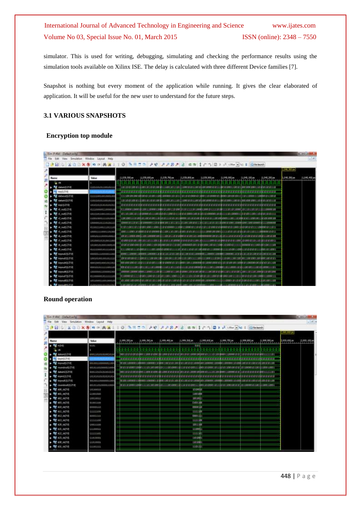simulator. This is used for writing, debugging, simulating and checking the performance results using the simulation tools available on Xilinx ISE. The delay is calculated with three different Device families [7].

Snapshot is nothing but every moment of the application while running. It gives the clear elaborated of application. It will be useful for the new user to understand for the future steps.

### **3.1 VARIOUS SNAPSHOTS**

#### **Encryption top module**

| <b>ISm PAMI-IDetail acts</b> |                            |              |              |             |                                                                                                                                                                          |              |                                        |                                    |                                    |               | <b>REMARKS</b> |
|------------------------------|----------------------------|--------------|--------------|-------------|--------------------------------------------------------------------------------------------------------------------------------------------------------------------------|--------------|----------------------------------------|------------------------------------|------------------------------------|---------------|----------------|
|                              | Window<br>Livest Help      |              |              |             |                                                                                                                                                                          |              |                                        |                                    |                                    |               | 118            |
|                              |                            |              |              |             | 0 3 H 1 0 2 2 2 3 4 3 ± 1 1 0 3 4 5 6 7 1 0 3 4 1 0 3 4 5                                                                                                                |              |                                        |                                    |                                    |               |                |
|                              |                            |              |              |             |                                                                                                                                                                          |              |                                        |                                    |                                    | 1.040, 300 pm |                |
|                              |                            |              |              |             |                                                                                                                                                                          |              |                                        |                                    |                                    |               |                |
| <b>Name</b><br>ğ             | Volum                      | 1,139,500 pm | 1.039,600 pm | .035.700 pm | 1,229,800 pm                                                                                                                                                             | 1.039,930.pe | 1.046.000 mm                           | 1940, 200 px                       | 1,041,200 pm<br><b>The Company</b> | 地震器           | 1.040.400 p    |
| $n$ the                      |                            |              |              |             |                                                                                                                                                                          |              |                                        |                                    |                                    |               |                |
| <b>NE</b> databrillitie      | 10031010118010111          |              |              |             |                                                                                                                                                                          |              |                                        |                                    |                                    |               |                |
| PE ANVILLER                  | <b>FIRM WILL FEEL FILM</b> |              |              |             |                                                                                                                                                                          |              | 10:10 10:10:33 \$315:10 10:13:30 10:11 | 2012/03/01 20:00 12:00 22:00 23:00 |                                    |               |                |
| dataparti 27:01              | 11111001081000100          |              |              |             |                                                                                                                                                                          |              |                                        |                                    |                                    |               |                |
| My datain13.2730             | 110110101188001418         |              |              |             |                                                                                                                                                                          |              |                                        |                                    |                                    |               |                |
| W keya p.zz.o)               | 101010101010101010         |              |              |             |                                                                                                                                                                          |              |                                        |                                    |                                    |               |                |
| <b>M</b> 40 outfit/10        | 011100001110000101         |              |              |             |                                                                                                                                                                          |              |                                        |                                    |                                    |               |                |
| rl auti127/8                 | 1811151188181115           |              |              |             |                                                                                                                                                                          |              |                                        |                                    |                                    |               |                |
| <b>W</b> Q out(127:0)        | 11001000111101001          |              |              |             |                                                                                                                                                                          |              |                                        |                                    |                                    |               |                |
| M d outilize                 | 10000010111010111          |              |              |             |                                                                                                                                                                          |              |                                        |                                    |                                    |               |                |
| Mar. of 0.45127.00           | 011011100111011101         |              |              |             |                                                                                                                                                                          |              |                                        |                                    |                                    |               |                |
| 15.64S17/S                   | 10001111000110100          |              |              |             |                                                                                                                                                                          |              |                                        |                                    |                                    |               |                |
| <b>No. 6. out(127:0)</b>     | 100101113102100018         |              |              |             |                                                                                                                                                                          |              |                                        |                                    |                                    |               |                |
| <b>M</b> d. out127/t         | 101000101810011001         |              |              |             |                                                                                                                                                                          |              |                                        |                                    |                                    |               |                |
| ■ 长 out127年                  | 101001010000000101         |              |              |             |                                                                                                                                                                          |              |                                        |                                    |                                    |               |                |
| <b>M</b> # 04(1374)          | 811110001111110100         |              |              |             | ELLI IDDO EELLI ID IDDO IELLI IDDO IDDOSIO IDDO EELLI ILDD SO SELLIO SESSESSIO SOLI ILDDOOD BLLTI LLO DO LI IDDOLI IE ID DO LE LEGOLI ILLI IDDOLE ILLI IDDOLI ILLI IDDOL |              |                                        |                                    |                                    |               |                |
| <b>Rd</b> beyout21127:01     | 0000011132E001180          |              |              |             |                                                                                                                                                                          |              |                                        |                                    |                                    |               |                |
| <b>ME REPORTS 2737</b>       | 100101001001011110         |              |              |             |                                                                                                                                                                          |              |                                        |                                    |                                    |               |                |
| <b>Ruf</b> keyoubil 27.01    | 00010001010303301          |              |              |             |                                                                                                                                                                          |              |                                        |                                    |                                    |               |                |
| <b>M</b> seyout53.27.9       | 00010181111100118          |              |              |             |                                                                                                                                                                          |              |                                        |                                    |                                    |               |                |
| <b>N</b> keyouts 1.27.00     | 1000004118000100           |              |              |             | 000000 118009019000 1130000111300381131900311130030300001300301801901901901901910303011103138103081180011101110111011001010                                              |              |                                        |                                    |                                    |               |                |
| M terooth 27.00              | 8330000183331101           |              |              |             |                                                                                                                                                                          |              |                                        |                                    |                                    |               |                |
| <b>MA</b> keybodd [127.0]    | 121100011821000101         |              |              |             |                                                                                                                                                                          |              |                                        |                                    |                                    |               |                |

#### **Round operation**

|                             | Window Layout Help                                                                 |         |                                                                                                                                                                                                                                      |               |  |              |              |                       | $-101 +$   |
|-----------------------------|------------------------------------------------------------------------------------|---------|--------------------------------------------------------------------------------------------------------------------------------------------------------------------------------------------------------------------------------------|---------------|--|--------------|--------------|-----------------------|------------|
|                             | 日 5 米田 3 × 8 10 × 8 内 3 × 1 0 元日 コー メガ メメタメ 3 まま 1 の 1 日 2 ズ 120 × 3 日 日 2 0 × 0 1 |         |                                                                                                                                                                                                                                      |               |  |              |              |                       |            |
|                             |                                                                                    |         |                                                                                                                                                                                                                                      |               |  |              |              | <b>Like Like Disk</b> |            |
|                             |                                                                                    |         |                                                                                                                                                                                                                                      |               |  |              |              |                       |            |
| <b>Name</b>                 | <b>Vokan</b>                                                                       |         | L994.200 pc   L994.30  pc   L995.90  pc   L995.90  pc   L995.90  pc   L999.30  pc                                                                                                                                                    |               |  | 1.999.000 pm | 1,999,900 ps | 2,000,000 pm          | 2,000, 200 |
| <b>▶ 해</b> kGd              | 11.41                                                                              |         |                                                                                                                                                                                                                                      | <b>GIES</b>   |  |              |              |                       |            |
|                             |                                                                                    | 1606901 | a n an na                                                                                                                                                                                                                            | .             |  |              |              |                       |            |
| <b>NE sutain注27点</b>        | 85511610101051510                                                                  |         |                                                                                                                                                                                                                                      |               |  |              |              |                       |            |
| PE Environment              | <b>ASSESSMENT</b>                                                                  |         | <u>Third provided the control of the state that the control the control of the control the control the control the control the control the control the control the control the control the control the control the control the c</u> |               |  |              |              |                       |            |
| <b>M</b> beyout 1170        | 0010011000021160                                                                   |         |                                                                                                                                                                                                                                      |               |  |              |              |                       |            |
| <b>NE</b> toundout3.7185    | 9010330100035198                                                                   |         |                                                                                                                                                                                                                                      |               |  |              |              |                       |            |
| M sawind (1270)             | 03311010101001010                                                                  |         |                                                                                                                                                                                                                                      |               |  |              |              |                       |            |
| <b>M</b> bewelft27df        | 18181010181818151                                                                  |         | <u>TESOS ELEGIO ELEGIO ELEGIO ELEGIO DI EGGIO ELEGIO ELEGIO ELEGIO ELEGIO ELEGIO ELEGIO ELEGIO ELEGIO ELEGIO ELEGIO ELEGIO ELEGIO ELEGIO ELEGIO ELEGIO ELEGIO ELEGIO ELEGIO ELEGIO ELEGIO ELEGIO ELEGIO ELEGIO ELEGIO ELEGIO ELE</u> |               |  |              |              |                       |            |
| <b>Ruf</b> keyouth 3:77:01  | <b>SELEDIIDOGGELIED</b>                                                            |         |                                                                                                                                                                                                                                      |               |  |              |              |                       |            |
| <b>W</b> reundeutiliting    | 00101101000111000                                                                  |         |                                                                                                                                                                                                                                      |               |  |              |              |                       |            |
| <b>RA</b> 100 0270          | 10100010                                                                           |         |                                                                                                                                                                                                                                      | ni social     |  |              |              |                       |            |
| $+ 12.402 + 0.07$           | ilssicco                                                                           |         |                                                                                                                                                                                                                                      | 11001000      |  |              |              |                       |            |
| ▶ <sup>12</sup> 502, (87/8) | 10030011                                                                           |         |                                                                                                                                                                                                                                      | 10010011      |  |              |              |                       |            |
| <b>图 b03</b> (四乙烷)          | 31551100                                                                           |         |                                                                                                                                                                                                                                      | anti-hi       |  |              |              |                       |            |
| ● 310, 127.0                | 00000110                                                                           |         |                                                                                                                                                                                                                                      | ODDOC-11T     |  |              |              |                       |            |
| <b>型</b> kt1.90次            | 11111100                                                                           |         |                                                                                                                                                                                                                                      | muito         |  |              |              |                       |            |
| ■ 112,000                   | 30001111                                                                           |         |                                                                                                                                                                                                                                      | 00001111      |  |              |              |                       |            |
| <b>RM</b> M15 starting      | 11211100                                                                           |         |                                                                                                                                                                                                                                      | <b>TELEST</b> |  |              |              |                       |            |
| ■ 3.20 m2.01                | 15511100                                                                           |         |                                                                                                                                                                                                                                      | nisier milit  |  |              |              |                       |            |
| M 673, 1970                 | 11100011                                                                           |         |                                                                                                                                                                                                                                      | 11100011      |  |              |              |                       |            |
| ■ 122, 607/8                | 11111101                                                                           |         |                                                                                                                                                                                                                                      | 1111101       |  |              |              |                       |            |
| ■ 421, 007 年                | 11010001                                                                           |         |                                                                                                                                                                                                                                      | 100001        |  |              |              |                       |            |
| ● 130, 02点                  | itatédoi                                                                           |         |                                                                                                                                                                                                                                      | 11010001      |  |              |              |                       |            |
| ■ 631, (974)                | 11101111                                                                           |         |                                                                                                                                                                                                                                      | monn          |  |              |              |                       |            |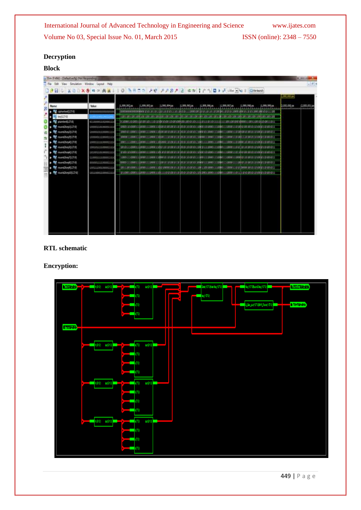## **Decryption**

## **Block**

|                                                                       | Hele<br>Window<br>Leegat |                                                                                                                                                                                                                                 |               |            |             |              |              |              |                | $-81$         |
|-----------------------------------------------------------------------|--------------------------|---------------------------------------------------------------------------------------------------------------------------------------------------------------------------------------------------------------------------------|---------------|------------|-------------|--------------|--------------|--------------|----------------|---------------|
| コクロ → ※00×6 の ○ 内 ※ 110 ろロニュ ノゼ ノノカノ 2 セカ 11つ ロ → 4 000 円 4 1 円 000 m |                          |                                                                                                                                                                                                                                 |               |            |             |              |              |              | (1,000,000 ps) |               |
| Name                                                                  | Volue                    | 1,999,992.ps<br>.999,991 ps                                                                                                                                                                                                     | 1.999, 994 ps | ,999,995ps | ,999,994 ps | 1,999,997,pr | 1.993,998.ps | 1,999,999 ps | 2,000,000 ps   | $2,000,001$ p |
| uphertext0.27/0                                                       | \$550000008880000        |                                                                                                                                                                                                                                 |               |            |             |              |              |              |                |               |
| key(1,170)                                                            | 19911001181110           |                                                                                                                                                                                                                                 |               |            |             |              |              |              |                |               |
| <b>M</b> succed 201                                                   | 855800011008881110       |                                                                                                                                                                                                                                 |               |            |             |              |              |              |                |               |
| tound2keyb1L27:01                                                     | 12030010010033311        | 00000 10010000 1103000 111000001110000 100300 10030 100300 10130000 11100000 1010000 11110000 110300 10030 10030 10030 10030 10030 10030 10030 10030 10030 10030 10030 10030 10030 10030 10030 10030 10030 10030 10030 10030 10 |               |            |             |              |              |              |                |               |
| round2key33.21:0)                                                     | 100001011000011110       |                                                                                                                                                                                                                                 |               |            |             |              |              |              |                |               |
| Mars and Supple To The                                                | 15800011188881111        | 808006113008011188008111180001138801111880818018000120100101130800011130800111188001118000111890011188001801880018800011880018010100011                                                                                         |               |            |             |              |              |              |                |               |
| M roundlice/412791                                                    | 1000111100001110         | 0000111110000111880001111000011188000118800011890010010010010111100001111100001111890011110000111018000118000118000118000101100001101000011010000110100011                                                                      |               |            |             |              |              |              |                |               |
| M NoundDiverS22731                                                    | 1001011100001110         |                                                                                                                                                                                                                                 |               |            |             |              |              |              |                |               |
| M tound2kry63.27:01                                                   | 12500110120201111        | 201001100000111880001111800011188101201201201201201201201201001112080011201008811112088011118000111011018010108100101120100101120100101                                                                                         |               |            |             |              |              |              |                |               |
| M round2key73.27:01                                                   | 110001111000011110       |                                                                                                                                                                                                                                 |               |            |             |              |              |              |                |               |
| <b>Manufacture</b>                                                    | 88800111558801111        | (00800) [11 1008011 12800811 11800811 12801811810818118100101101001011000001111000011111000811111000811111008011111008011110080112000011011010010110100001                                                                      |               |            |             |              |              |              |                |               |
| M roundDoy(9)LZTER                                                    | 10011100100001111        |                                                                                                                                                                                                                                 |               |            |             |              |              |              |                |               |
| <b>M</b> roond2key00127dE                                             | 151100011008611110       |                                                                                                                                                                                                                                 |               |            |             |              |              |              |                |               |
|                                                                       |                          |                                                                                                                                                                                                                                 |               |            |             |              |              |              |                |               |

## **RTL schematic**

## **Encryption:**

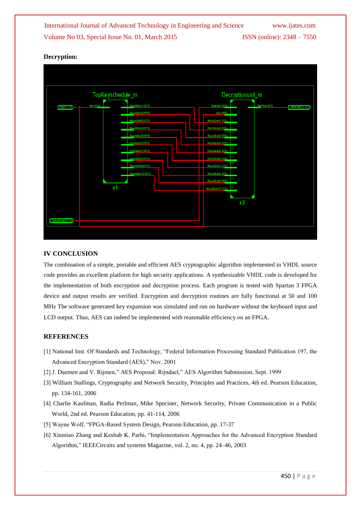## **Decryption:**



### **IV CONCLUSION**

The combination of a simple, portable and efficient AES cryptographic algorithm implemented in VHDL source code provides an excellent platform for high security applications. A synthesizable VHDL code is developed for the implementation of both encryption and decryption process. Each program is tested with Spartan 3 FPGA device and output results are verified. Encryption and decryption routines are fully functional at 50 and 100 MHz The software generated key expansion was simulated and run on hardware without the keyboard input and LCD output. Thus, AES can indeed be implemented with reasonable efficiency on an FPGA.

### **REFERENCES**

- [1] National Inst. Of Standards and Technology, "Federal Information Processing Standard Publication 197, the Advanced Encryption Standard (AES)," Nov. 2001
- [2] J. Daemen and V. Rijmen," AES Proposal: Rijndael," AES Algorithm Submission, Sept. 1999
- [3] William Stallings, Cryptography and Network Security, Principles and Practices, 4th ed. Pearson Education, pp. 134-161, 2006
- [4] Charlie Kaufman, Radia Perlman, Mike Speciner, Network Security, Private Communication in a Public World, 2nd ed. Pearson Education, pp. 41-114, 2006
- [5] Wayne Wolf, "FPGA-Based System Design, Pearson Education, pp. 17-37
- [6] Xinmiao Zhang and Keshab K. Parhi, "Implementation Approaches for the Advanced Encryption Standard Algorithm," IEEECircuits and systems Magazine, vol. 2, no. 4, pp. 24–46, 2003